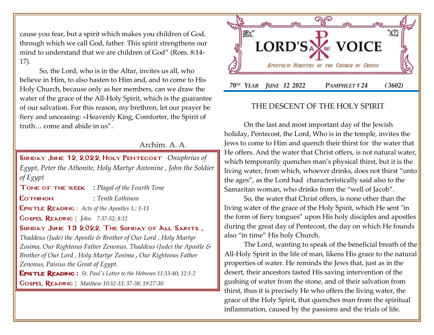cause you fear, but a spirit which makes you children of God, through which we call God, father. This spirit strengthens our mind to understand that we are children of God" (Rom. 8:14- 17).

So, the Lord, who is in the Altar, invites us all, who believe in Him, to also hasten to Him and, and to come to His Holy Church, because only as her members, can we draw the water of the grace of the All-Holy Spirit, which is the guarantee of our salvation. For this reason, my brethren, let our prayer be fiery and unceasing: «Heavenly King, Comforter, the Spirit of truth… come and abide in us".

### Archim. A. A.

Sunday June 12 2022 Holy Pentecost *[Onuphrius of](http://www.goarch.org/chapel/saints?contentid=84)  [Egypt,](http://www.goarch.org/chapel/saints?contentid=84) [Peter the Athonite,](http://www.goarch.org/chapel/saints?contentid=490) Holy Martyr Antonine , John the Soldier of Egypt*  Tone of the week : *Plagal of the Fourth Tone*

Eothinon : *Tenth Eothinon*

Epistle Reading : *[Acts of the Apostles 1,: 1-11](http://www.goarch.org/chapel/lectionary?type=E&code=353&event=44&date=05/08/2022)*

Gospel Reading **[:](http://www.goarch.org/chapel/lectionary?type=G&code=362&event=218)** *J[ohn 7:37-52; 8:12](http://www.goarch.org/chapel/lectionary?type=G&code=50&event=961)*

### SUNDAY JUNE 19 2022 THE SUNDAY OF ALL SAINTS,

*[Thaddeus \(Jude\) the Apostle & Brother of Our Lord](http://www.goarch.org/chapel/saints?contentid=93) , Holy Martyr Zosima, Our Righteous Father Zenonus, [Thaddeus \(Jude\) the Apostle &](http://www.goarch.org/chapel/saints?contentid=93)  [Brother of Our Lord](http://www.goarch.org/chapel/saints?contentid=93) , Holy Martyr Zosima , Our Righteous Father Zenonus, [Paisius the Great of Egypt.](http://www.goarch.org/chapel/saints?contentid=2157)*

Epistle Reading **:** *[St. Paul's Letter to the Hebrews 11:33-40; 12:1-2](http://www.goarch.org/chapel/lectionary?type=E&code=353&event=44&date=05/08/2022)*

Gospel Reading **[:](http://www.goarch.org/chapel/lectionary?type=G&code=362&event=218)** *[Matthew 10:32-33; 37-38; 19:27-30](http://www.goarch.org/chapel/lectionary?type=G&code=57&event=1040)*



# THE DESCENT OF THE HOLY SPIRIT

On the last and most important day of the Jewish holiday, Pentecost, the Lord, Who is in the temple, invites the Jews to come to Him and quench their thirst for the water that He offers. And the water that Christ offers, is not natural water, which temporarily quenches man's physical thirst, but it is the living water, from which, whoever drinks, does not thirst "unto the ages", as the Lord had characteristically said also to the Samaritan woman, who drinks from the "well of Jacob".

So, the water that Christ offers, is none other than the living water of the grace of the Holy Spirit, which He sent "in the form of fiery tongues" upon His holy disciples and apostles during the great day of Pentecost, the day on which He founds also "in time" His holy Church.

The Lord, wanting to speak of the beneficial breath of the All-Holy Spirit in the life of man, likens His grace to the natural properties of water. He reminds the Jews that, just as in the desert, their ancestors tasted His saving intervention of the gushing of water from the stone, and of their salvation from thirst, thus it is precisely He who offers the living water, the grace of the Holy Spirit, that quenches man from the spiritual inflammation, caused by the passions and the trials of life.